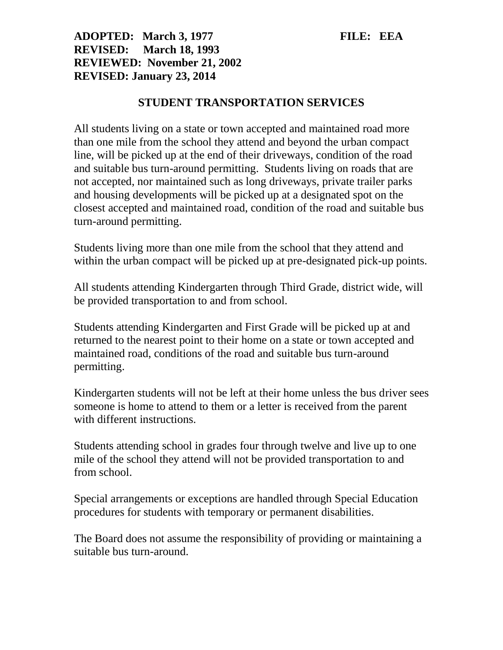## **ADOPTED: March 3, 1977 FILE: EEA REVISED: March 18, 1993 REVIEWED: November 21, 2002 REVISED: January 23, 2014**

## **STUDENT TRANSPORTATION SERVICES**

All students living on a state or town accepted and maintained road more than one mile from the school they attend and beyond the urban compact line, will be picked up at the end of their driveways, condition of the road and suitable bus turn-around permitting. Students living on roads that are not accepted, nor maintained such as long driveways, private trailer parks and housing developments will be picked up at a designated spot on the closest accepted and maintained road, condition of the road and suitable bus turn-around permitting.

Students living more than one mile from the school that they attend and within the urban compact will be picked up at pre-designated pick-up points.

All students attending Kindergarten through Third Grade, district wide, will be provided transportation to and from school.

Students attending Kindergarten and First Grade will be picked up at and returned to the nearest point to their home on a state or town accepted and maintained road, conditions of the road and suitable bus turn-around permitting.

Kindergarten students will not be left at their home unless the bus driver sees someone is home to attend to them or a letter is received from the parent with different instructions.

Students attending school in grades four through twelve and live up to one mile of the school they attend will not be provided transportation to and from school.

Special arrangements or exceptions are handled through Special Education procedures for students with temporary or permanent disabilities.

The Board does not assume the responsibility of providing or maintaining a suitable bus turn-around.